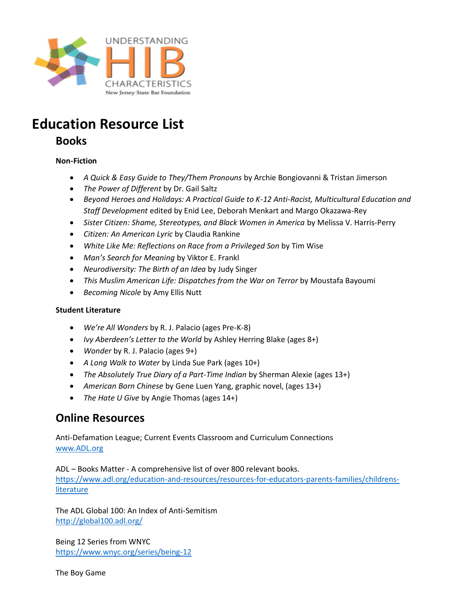

# **Education Resource List**

# **Books**

# **Non-Fiction**

- *A Quick & Easy Guide to They/Them Pronouns* by Archie Bongiovanni & Tristan Jimerson
- *The Power of Different* by Dr. Gail Saltz
- *Beyond Heroes and Holidays: A Practical Guide to K-12 Anti-Racist, Multicultural Education and Staff Development* edited by Enid Lee, Deborah Menkart and Margo Okazawa-Rey
- *Sister Citizen: Shame, Stereotypes, and Black Women in America* by Melissa V. Harris-Perry
- *Citizen: An American Lyric* by Claudia Rankine
- White Like Me: Reflections on Race from a Privileged Son by Tim Wise
- *Man's Search for Meaning* by Viktor E. Frankl
- *Neurodiversity: The Birth of an Idea* by Judy Singer
- *This Muslim American Life: Dispatches from the War on Terror* by Moustafa Bayoumi
- *Becoming Nicole* by Amy Ellis Nutt

## **Student Literature**

- *We're All Wonders* by R. J. Palacio (ages Pre-K-8)
- *Ivy Aberdeen's Letter to the World* by Ashley Herring Blake (ages 8+)
- *Wonder* by R. J. Palacio (ages 9+)
- *A Long Walk to Water* by Linda Sue Park (ages 10+)
- *The Absolutely True Diary of a Part-Time Indian* by Sherman Alexie (ages 13+)
- *American Born Chinese* by Gene Luen Yang, graphic novel, (ages 13+)
- *The Hate U Give* by Angie Thomas (ages 14+)

# **Online Resources**

Anti-Defamation League; Current Events Classroom and Curriculum Connections [www.ADL.org](http://www.adl.org/)

ADL – Books Matter - A comprehensive list of over 800 relevant books. [https://www.adl.org/education-and-resources/resources-for-educators-parents-families/childrens](https://www.adl.org/education-and-resources/resources-for-educators-parents-families/childrens-literature)[literature](https://www.adl.org/education-and-resources/resources-for-educators-parents-families/childrens-literature)

The ADL Global 100: An Index of Anti-Semitism <http://global100.adl.org/>

Being 12 Series from WNYC <https://www.wnyc.org/series/being-12>

The Boy Game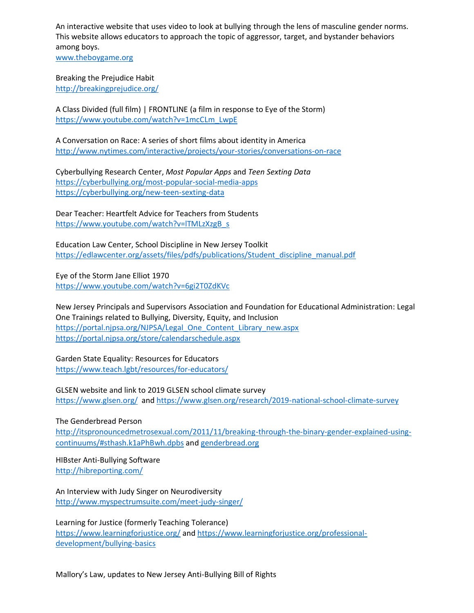An interactive website that uses video to look at bullying through the lens of masculine gender norms. This website allows educators to approach the topic of aggressor, target, and bystander behaviors among boys.

[www.theboygame.org](http://www.theboygame.org/)

Breaking the Prejudice Habit <http://breakingprejudice.org/>

A Class Divided (full film) | FRONTLINE (a film in response to Eye of the Storm) [https://www.youtube.com/watch?v=1mcCLm\\_LwpE](https://www.youtube.com/watch?v=1mcCLm_LwpE)

A Conversation on Race: A series of short films about identity in America <http://www.nytimes.com/interactive/projects/your-stories/conversations-on-race>

Cyberbullying Research Center, *Most Popular Apps* and *Teen Sexting Data* <https://cyberbullying.org/most-popular-social-media-apps> <https://cyberbullying.org/new-teen-sexting-data>

Dear Teacher: Heartfelt Advice for Teachers from Students [https://www.youtube.com/watch?v=lTMLzXzgB\\_s](https://www.youtube.com/watch?v=lTMLzXzgB_s)

Education Law Center, School Discipline in New Jersey Toolkit [https://edlawcenter.org/assets/files/pdfs/publications/Student\\_discipline\\_manual.pdf](https://edlawcenter.org/assets/files/pdfs/publications/Student_discipline_manual.pdf)

Eye of the Storm Jane Elliot 1970 <https://www.youtube.com/watch?v=6gi2T0ZdKVc>

New Jersey Principals and Supervisors Association and Foundation for Educational Administration: Legal One Trainings related to Bullying, Diversity, Equity, and Inclusion [https://portal.njpsa.org/NJPSA/Legal\\_One\\_Content\\_Library\\_new.aspx](https://portal.njpsa.org/NJPSA/Legal_One_Content_Library_new.aspx) <https://portal.njpsa.org/store/calendarschedule.aspx>

Garden State Equality: Resources for Educators <https://www.teach.lgbt/resources/for-educators/>

GLSEN website and link to 2019 GLSEN school climate survey <https://www.glsen.org/>and<https://www.glsen.org/research/2019-national-school-climate-survey>

The Genderbread Person

[http://itspronouncedmetrosexual.com/2011/11/breaking-through-the-binary-gender-explained-using](http://itspronouncedmetrosexual.com/2011/11/breaking-through-the-binary-gender-explained-using-continuums/#sthash.k1aPhBwh.dpbs)[continuums/#sthash.k1aPhBwh.dpbs](http://itspronouncedmetrosexual.com/2011/11/breaking-through-the-binary-gender-explained-using-continuums/#sthash.k1aPhBwh.dpbs) an[d genderbread.org](genderbread.org)

HIBster Anti-Bullying Software <http://hibreporting.com/>

An Interview with Judy Singer on Neurodiversity <http://www.myspectrumsuite.com/meet-judy-singer/>

Learning for Justice (formerly Teaching Tolerance) <https://www.learningforjustice.org/> and [https://www.learningforjustice.org/professional](https://www.learningforjustice.org/professional-development/bullying-basics)[development/bullying-basics](https://www.learningforjustice.org/professional-development/bullying-basics)

Mallory's Law, updates to New Jersey Anti-Bullying Bill of Rights